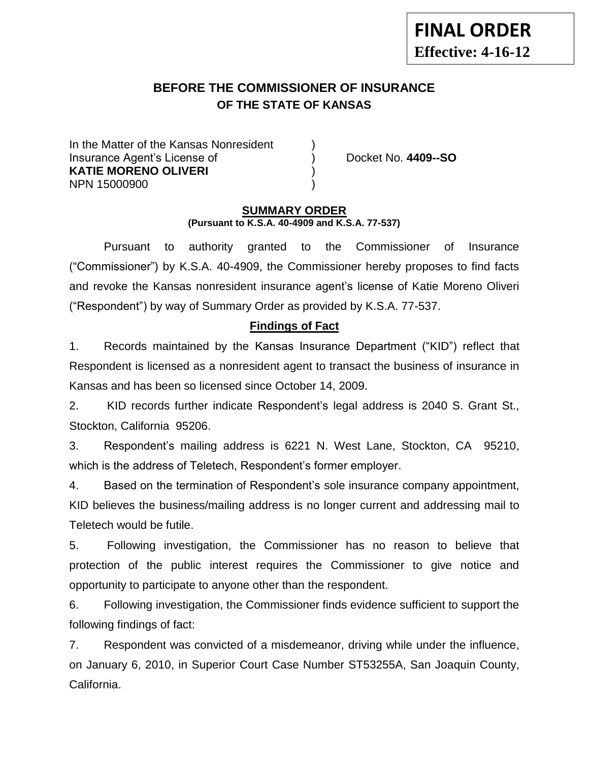# **BEFORE THE COMMISSIONER OF INSURANCE OF THE STATE OF KANSAS**

In the Matter of the Kansas Nonresident Insurance Agent's License of ) Docket No. **4409--SO KATIE MORENO OLIVERI** ) NPN 15000900 )

### **SUMMARY ORDER (Pursuant to K.S.A. 40-4909 and K.S.A. 77-537)**

Pursuant to authority granted to the Commissioner of Insurance ("Commissioner") by K.S.A. 40-4909, the Commissioner hereby proposes to find facts and revoke the Kansas nonresident insurance agent's license of Katie Moreno Oliveri ("Respondent") by way of Summary Order as provided by K.S.A. 77-537.

# **Findings of Fact**

1. Records maintained by the Kansas Insurance Department ("KID") reflect that Respondent is licensed as a nonresident agent to transact the business of insurance in Kansas and has been so licensed since October 14, 2009.

2. KID records further indicate Respondent's legal address is 2040 S. Grant St., Stockton, California 95206.

3. Respondent's mailing address is 6221 N. West Lane, Stockton, CA 95210, which is the address of Teletech, Respondent's former employer.

4. Based on the termination of Respondent's sole insurance company appointment, KID believes the business/mailing address is no longer current and addressing mail to Teletech would be futile.

5. Following investigation, the Commissioner has no reason to believe that protection of the public interest requires the Commissioner to give notice and opportunity to participate to anyone other than the respondent.

6. Following investigation, the Commissioner finds evidence sufficient to support the following findings of fact:

7. Respondent was convicted of a misdemeanor, driving while under the influence, on January 6, 2010, in Superior Court Case Number ST53255A, San Joaquin County, California.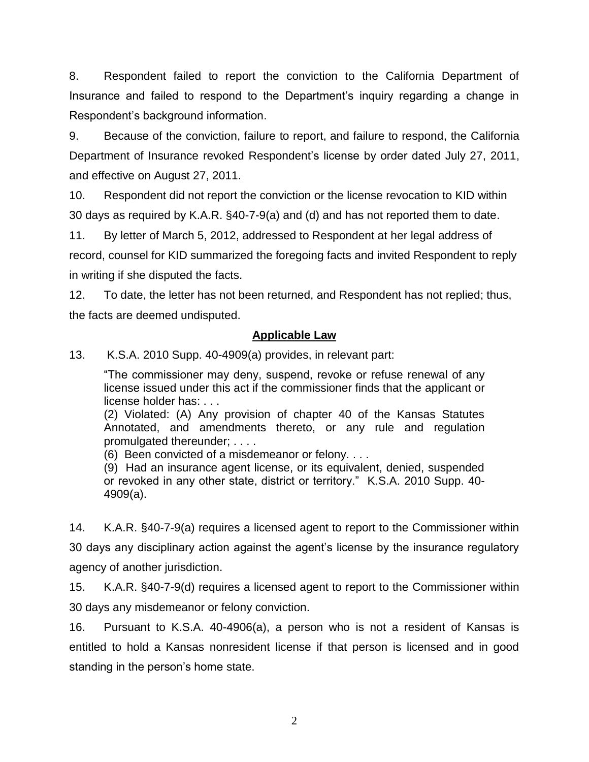8. Respondent failed to report the conviction to the California Department of Insurance and failed to respond to the Department's inquiry regarding a change in Respondent's background information.

9. Because of the conviction, failure to report, and failure to respond, the California Department of Insurance revoked Respondent's license by order dated July 27, 2011, and effective on August 27, 2011.

10. Respondent did not report the conviction or the license revocation to KID within 30 days as required by K.A.R. §40-7-9(a) and (d) and has not reported them to date.

11. By letter of March 5, 2012, addressed to Respondent at her legal address of record, counsel for KID summarized the foregoing facts and invited Respondent to reply in writing if she disputed the facts.

12. To date, the letter has not been returned, and Respondent has not replied; thus, the facts are deemed undisputed.

### **Applicable Law**

13. K.S.A. 2010 Supp. 40-4909(a) provides, in relevant part:

"The commissioner may deny, suspend, revoke or refuse renewal of any license issued under this act if the commissioner finds that the applicant or license holder has: . . .

(2) Violated: (A) Any provision of chapter 40 of the Kansas Statutes Annotated, and amendments thereto, or any rule and regulation promulgated thereunder; . . . .

(6) Been convicted of a misdemeanor or felony. . . .

(9) Had an insurance agent license, or its equivalent, denied, suspended or revoked in any other state, district or territory." K.S.A. 2010 Supp. 40- 4909(a).

14. K.A.R. §40-7-9(a) requires a licensed agent to report to the Commissioner within 30 days any disciplinary action against the agent's license by the insurance regulatory agency of another jurisdiction.

15. K.A.R. §40-7-9(d) requires a licensed agent to report to the Commissioner within 30 days any misdemeanor or felony conviction.

16. Pursuant to K.S.A. 40-4906(a), a person who is not a resident of Kansas is entitled to hold a Kansas nonresident license if that person is licensed and in good standing in the person's home state.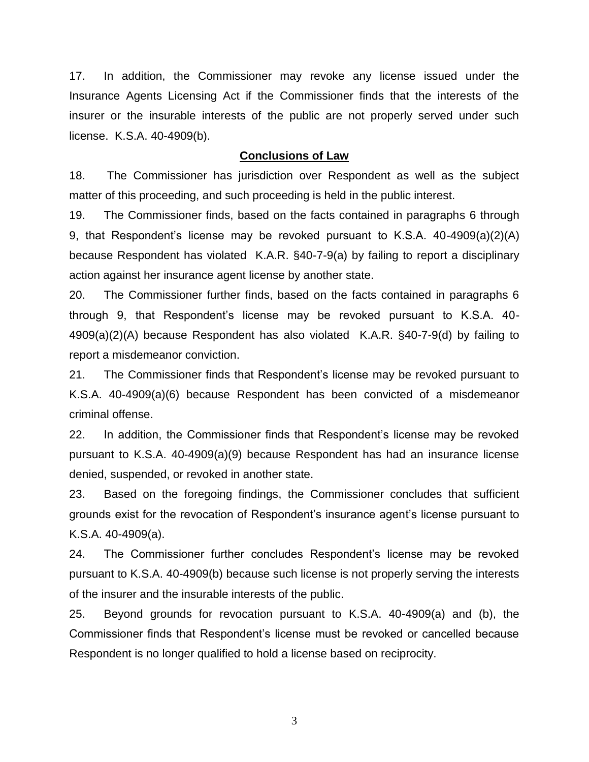17. In addition, the Commissioner may revoke any license issued under the Insurance Agents Licensing Act if the Commissioner finds that the interests of the insurer or the insurable interests of the public are not properly served under such license. K.S.A. 40-4909(b).

#### **Conclusions of Law**

18. The Commissioner has jurisdiction over Respondent as well as the subject matter of this proceeding, and such proceeding is held in the public interest.

19. The Commissioner finds, based on the facts contained in paragraphs 6 through 9, that Respondent's license may be revoked pursuant to K.S.A. 40-4909(a)(2)(A) because Respondent has violated K.A.R. §40-7-9(a) by failing to report a disciplinary action against her insurance agent license by another state.

20. The Commissioner further finds, based on the facts contained in paragraphs 6 through 9, that Respondent's license may be revoked pursuant to K.S.A. 40- 4909(a)(2)(A) because Respondent has also violated K.A.R. §40-7-9(d) by failing to report a misdemeanor conviction.

21. The Commissioner finds that Respondent's license may be revoked pursuant to K.S.A. 40-4909(a)(6) because Respondent has been convicted of a misdemeanor criminal offense.

22. In addition, the Commissioner finds that Respondent's license may be revoked pursuant to K.S.A. 40-4909(a)(9) because Respondent has had an insurance license denied, suspended, or revoked in another state.

23. Based on the foregoing findings, the Commissioner concludes that sufficient grounds exist for the revocation of Respondent's insurance agent's license pursuant to K.S.A. 40-4909(a).

24. The Commissioner further concludes Respondent's license may be revoked pursuant to K.S.A. 40-4909(b) because such license is not properly serving the interests of the insurer and the insurable interests of the public.

25. Beyond grounds for revocation pursuant to K.S.A. 40-4909(a) and (b), the Commissioner finds that Respondent's license must be revoked or cancelled because Respondent is no longer qualified to hold a license based on reciprocity.

3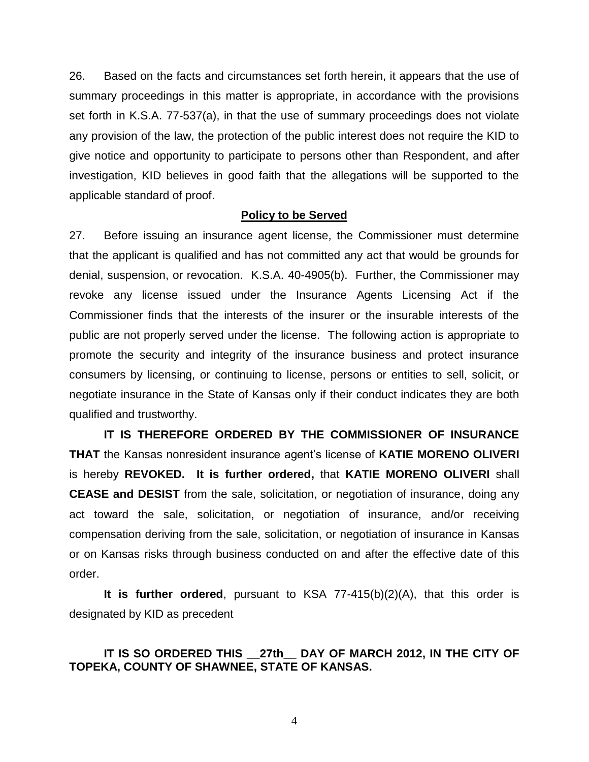26. Based on the facts and circumstances set forth herein, it appears that the use of summary proceedings in this matter is appropriate, in accordance with the provisions set forth in K.S.A. 77-537(a), in that the use of summary proceedings does not violate any provision of the law, the protection of the public interest does not require the KID to give notice and opportunity to participate to persons other than Respondent, and after investigation, KID believes in good faith that the allegations will be supported to the applicable standard of proof.

### **Policy to be Served**

27. Before issuing an insurance agent license, the Commissioner must determine that the applicant is qualified and has not committed any act that would be grounds for denial, suspension, or revocation. K.S.A. 40-4905(b). Further, the Commissioner may revoke any license issued under the Insurance Agents Licensing Act if the Commissioner finds that the interests of the insurer or the insurable interests of the public are not properly served under the license. The following action is appropriate to promote the security and integrity of the insurance business and protect insurance consumers by licensing, or continuing to license, persons or entities to sell, solicit, or negotiate insurance in the State of Kansas only if their conduct indicates they are both qualified and trustworthy.

**IT IS THEREFORE ORDERED BY THE COMMISSIONER OF INSURANCE THAT** the Kansas nonresident insurance agent's license of **KATIE MORENO OLIVERI** is hereby **REVOKED. It is further ordered,** that **KATIE MORENO OLIVERI** shall **CEASE and DESIST** from the sale, solicitation, or negotiation of insurance, doing any act toward the sale, solicitation, or negotiation of insurance, and/or receiving compensation deriving from the sale, solicitation, or negotiation of insurance in Kansas or on Kansas risks through business conducted on and after the effective date of this order.

**It is further ordered**, pursuant to KSA 77-415(b)(2)(A), that this order is designated by KID as precedent

# **IT IS SO ORDERED THIS \_\_27th\_\_ DAY OF MARCH 2012, IN THE CITY OF TOPEKA, COUNTY OF SHAWNEE, STATE OF KANSAS.**

4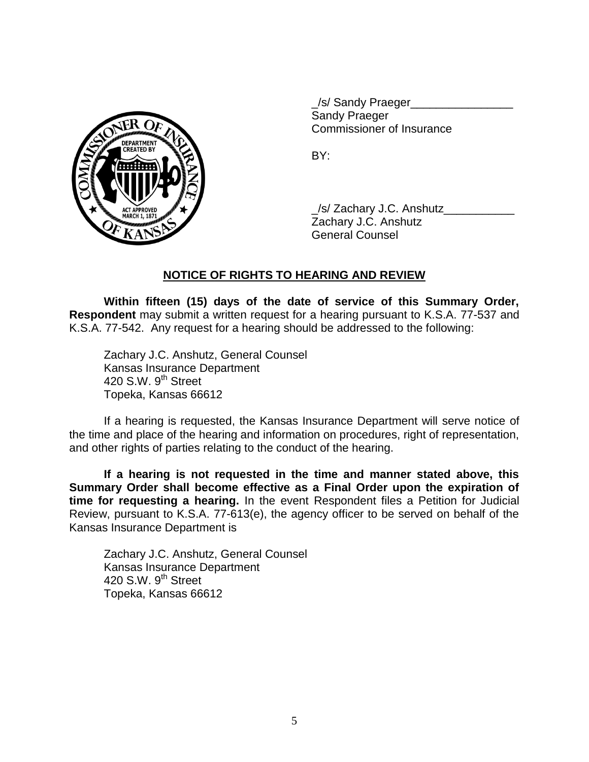

\_/s/ Sandy Praeger\_\_\_\_\_\_\_\_\_\_\_\_\_\_\_\_ Sandy Praeger Commissioner of Insurance

BY:

\_/s/ Zachary J.C. Anshutz\_\_\_\_\_\_\_\_\_\_\_ Zachary J.C. Anshutz General Counsel

# **NOTICE OF RIGHTS TO HEARING AND REVIEW**

**Within fifteen (15) days of the date of service of this Summary Order, Respondent** may submit a written request for a hearing pursuant to K.S.A. 77-537 and K.S.A. 77-542. Any request for a hearing should be addressed to the following:

Zachary J.C. Anshutz, General Counsel Kansas Insurance Department 420 S.W. 9<sup>th</sup> Street Topeka, Kansas 66612

If a hearing is requested, the Kansas Insurance Department will serve notice of the time and place of the hearing and information on procedures, right of representation, and other rights of parties relating to the conduct of the hearing.

**If a hearing is not requested in the time and manner stated above, this Summary Order shall become effective as a Final Order upon the expiration of time for requesting a hearing.** In the event Respondent files a Petition for Judicial Review, pursuant to K.S.A. 77-613(e), the agency officer to be served on behalf of the Kansas Insurance Department is

Zachary J.C. Anshutz, General Counsel Kansas Insurance Department 420 S.W.  $9<sup>th</sup>$  Street Topeka, Kansas 66612